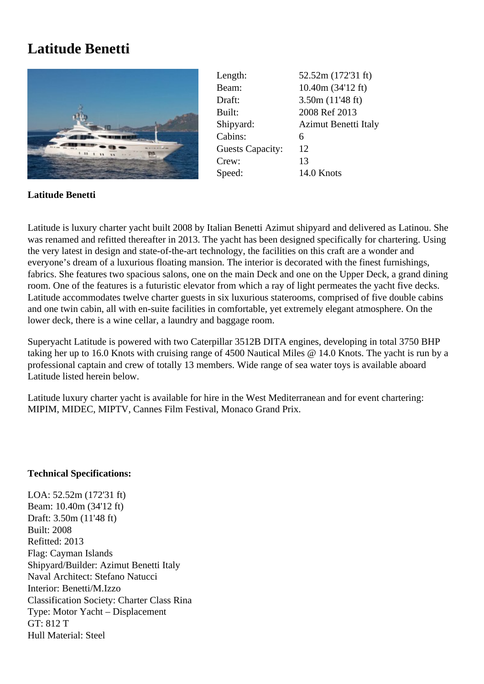## **Latitude Benetti**



Length: 52.52m (172'31 ft) Beam: 10.40m (34'12 ft) Draft: 3.50m (11'48 ft) Built: 2008 Ref 2013 Shipyard: Azimut Benetti Italy Cabins: 6 Guests Capacity: 12 Crew: 13 Speed: 14.0 Knots

## **Latitude Benetti**

Latitude is luxury charter yacht built 2008 by Italian Benetti Azimut shipyard and delivered as Latinou. She was renamed and refitted thereafter in 2013. The yacht has been designed specifically for chartering. Using the very latest in design and state-of-the-art technology, the facilities on this craft are a wonder and everyone's dream of a luxurious floating mansion. The interior is decorated with the finest furnishings, fabrics. She features two spacious salons, one on the main Deck and one on the Upper Deck, a grand dining room. One of the features is a futuristic elevator from which a ray of light permeates the yacht five decks. Latitude accommodates twelve charter guests in six luxurious staterooms, comprised of five double cabins and one twin cabin, all with en-suite facilities in comfortable, yet extremely elegant atmosphere. On the lower deck, there is a wine cellar, a laundry and baggage room.

Superyacht Latitude is powered with two Caterpillar 3512B DITA engines, developing in total 3750 BHP taking her up to 16.0 Knots with cruising range of 4500 Nautical Miles @ 14.0 Knots. The yacht is run by a professional captain and crew of totally 13 members. Wide range of sea water toys is available aboard Latitude listed herein below.

Latitude luxury charter yacht is available for hire in the West Mediterranean and for event chartering: MIPIM, MIDEC, MIPTV, Cannes Film Festival, Monaco Grand Prix.

## **Technical Specifications:**

LOA: 52.52m (172'31 ft) Beam: 10.40m (34'12 ft) Draft: 3.50m (11'48 ft) Built: 2008 Refitted: 2013 Flag: Cayman Islands Shipyard/Builder: Azimut Benetti Italy Naval Architect: Stefano Natucci Interior: Benetti/M.Izzo Classification Society: Charter Class Rina Type: Motor Yacht – Displacement GT: 812 T Hull Material: Steel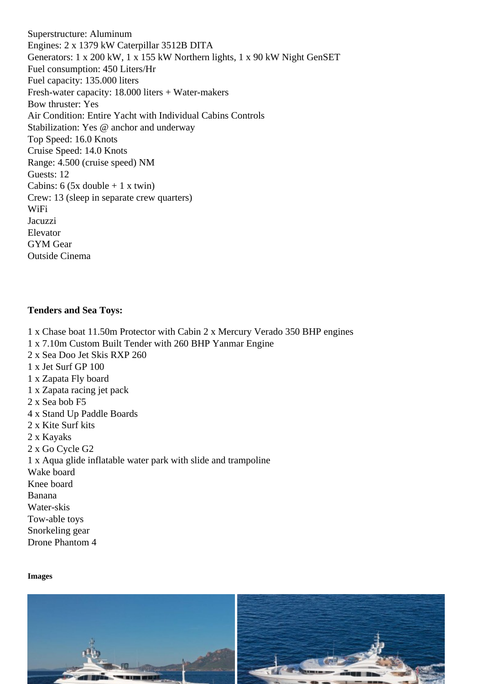Engines: 2 x 1379 kW Caterpillar 3512B DITA Generators: 1 x 200 kW, 1 x 155 kW Northern lights, 1 x 90 kW Night GenSET Fuel consumption: 450 Liters/Hr Fuel capacity: 135.000 liters Fresh-water capacity: 18.000 liters + Water-makers Bow thruster: Yes Air Condition: Entire Yacht with Individual Cabins Controls Stabilization: Yes @ anchor and underway Top Speed: 16.0 Knots Cruise Speed: 14.0 Knots Range: 4.500 (cruise speed) NM Guests: 12 Cabins:  $6$  (5x double  $+1$  x twin) Crew: 13 (sleep in separate crew quarters) WiFi Jacuzzi **Elevator** GYM Gear Outside Cinema

Tenders and Sea Toys:

1 x Chase boat 11.50m Protector with Cabin 2 x Mercury Verado 350 BHP engines 1 x 7.10m Custom Built Tender with 260 BHP Yanmar Engine 2 x Sea Doo Jet Skis RXP 260 1 x Jet Surf GP 100 1 x Zapata Fly board 1 x Zapata racing jet pack 2 x Sea bob F5 4 x Stand Up Paddle Boards 2 x Kite Surf kits 2 x Kayaks 2 x Go Cycle G2 1 x Aqua glide inflatable water park with slide and trampoline Wake board Knee board Banana Water-skis Tow-able toys Snorkeling gear Drone Phantom 4

Images